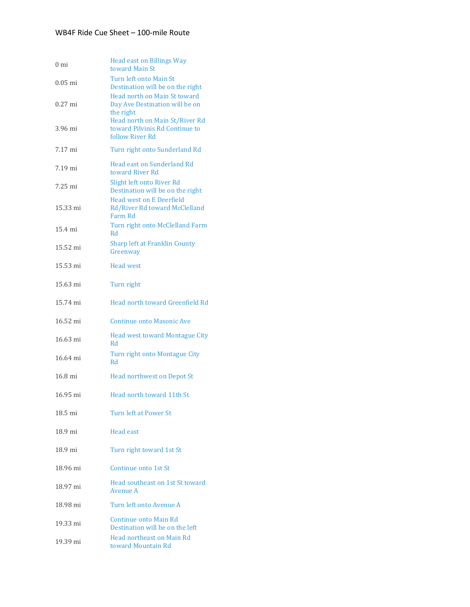| 0 mi      | <b>Head east on Billings Way</b><br>toward Main St                                                            |
|-----------|---------------------------------------------------------------------------------------------------------------|
| $0.05$ mi | Turn left onto Main St<br>Destination will be on the right                                                    |
| $0.27$ mi | Head north on Main St toward<br>Day Ave Destination will be on<br>the right<br>Head north on Main St/River Rd |
| 3.96 mi   | toward Pilvinis Rd Continue to<br>follow River Rd                                                             |
| 7.17 mi   | Turn right onto Sunderland Rd                                                                                 |
| 7.19 mi   | <b>Head east on Sunderland Rd</b><br>toward River Rd                                                          |
| 7.25 mi   | Slight left onto River Rd<br>Destination will be on the right                                                 |
| 15.33 mi  | <b>Head west on E Deerfield</b><br>Rd/River Rd toward McClelland<br>Farm Rd                                   |
| 15.4 mi   | Turn right onto McClelland Farm<br>Rd                                                                         |
| 15.52 mi  | <b>Sharp left at Franklin County</b><br>Greenway                                                              |
| 15.53 mi  | <b>Head west</b>                                                                                              |
| 15.63 mi  | Turn right                                                                                                    |
| 15.74 mi  | Head north toward Greenfield Rd                                                                               |
| 16.52 mi  | <b>Continue onto Masonic Ave</b>                                                                              |
| 16.63 mi  | <b>Head west toward Montague City</b><br>Rd                                                                   |
| 16.64 mi  | Turn right onto Montague City<br>Rd                                                                           |
| 16.8 mi   | <b>Head northwest on Depot St</b>                                                                             |
| 16.95 mi  | Head north toward 11th St                                                                                     |
| 18.5 mi   | Turn left at Power St                                                                                         |
| 18.9 mi   | Head east                                                                                                     |
| 18.9 mi   | Turn right toward 1st St                                                                                      |
| 18.96 mi  | Continue onto 1st St                                                                                          |
| 18.97 mi  | Head southeast on 1st St toward<br>Avenue A                                                                   |
| 18.98 mi  | Turn left onto Avenue A                                                                                       |
| 19.33 mi  | Continue onto Main Rd<br>Destination will be on the left                                                      |
| 19.39 mi  | Head northeast on Main Rd<br>toward Mountain Rd                                                               |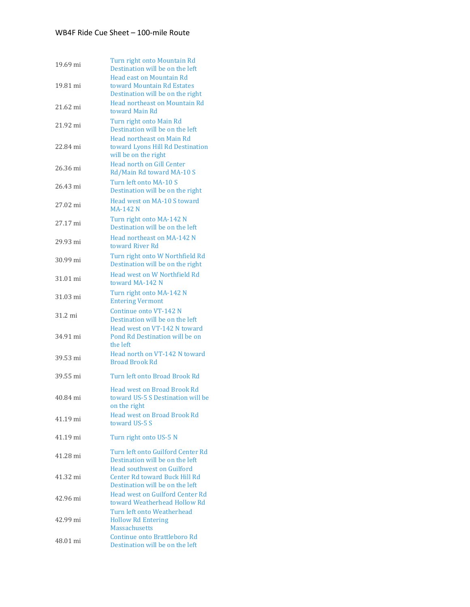| 19.69 mi | Turn right onto Mountain Rd<br>Destination will be on the left                                               |
|----------|--------------------------------------------------------------------------------------------------------------|
| 19.81 mi | <b>Head east on Mountain Rd</b><br>toward Mountain Rd Estates<br>Destination will be on the right            |
| 21.62 mi | Head northeast on Mountain Rd<br>toward Main Rd                                                              |
| 21.92 mi | Turn right onto Main Rd<br>Destination will be on the left                                                   |
| 22.84 mi | <b>Head northeast on Main Rd</b><br>toward Lyons Hill Rd Destination<br>will be on the right                 |
| 26.36 mi | <b>Head north on Gill Center</b><br>Rd/Main Rd toward MA-10 S                                                |
| 26.43 mi | Turn left onto MA-10 S<br>Destination will be on the right                                                   |
| 27.02 mi | Head west on MA-10 S toward<br><b>MA-142 N</b>                                                               |
| 27.17 mi | Turn right onto MA-142 N<br>Destination will be on the left                                                  |
| 29.93 mi | Head northeast on MA-142 N<br>toward River Rd                                                                |
| 30.99 mi | Turn right onto W Northfield Rd<br>Destination will be on the right                                          |
| 31.01 mi | Head west on W Northfield Rd<br>toward MA-142 N                                                              |
| 31.03 mi | Turn right onto MA-142 N<br><b>Entering Vermont</b>                                                          |
| 31.2 mi  | Continue onto VT-142 N<br>Destination will be on the left                                                    |
| 34.91 mi | Head west on VT-142 N toward<br>Pond Rd Destination will be on<br>the left                                   |
| 39.53 mi | Head north on VT-142 N toward<br><b>Broad Brook Rd</b>                                                       |
| 39.55 mi | Turn left onto Broad Brook Rd                                                                                |
| 40.84 mi | <b>Head west on Broad Brook Rd</b><br>toward US-5 S Destination will be<br>on the right                      |
| 41.19 mi | <b>Head west on Broad Brook Rd</b><br>toward US-5 S                                                          |
| 41.19 mi | Turn right onto US-5 N                                                                                       |
| 41.28 mi | Turn left onto Guilford Center Rd<br>Destination will be on the left                                         |
| 41.32 mi | <b>Head southwest on Guilford</b><br><b>Center Rd toward Buck Hill Rd</b><br>Destination will be on the left |
| 42.96 mi | <b>Head west on Guilford Center Rd</b><br>toward Weatherhead Hollow Rd                                       |
| 42.99 mi | Turn left onto Weatherhead<br><b>Hollow Rd Entering</b><br><b>Massachusetts</b>                              |
| 48.01 mi | Continue onto Brattleboro Rd<br>Destination will be on the left                                              |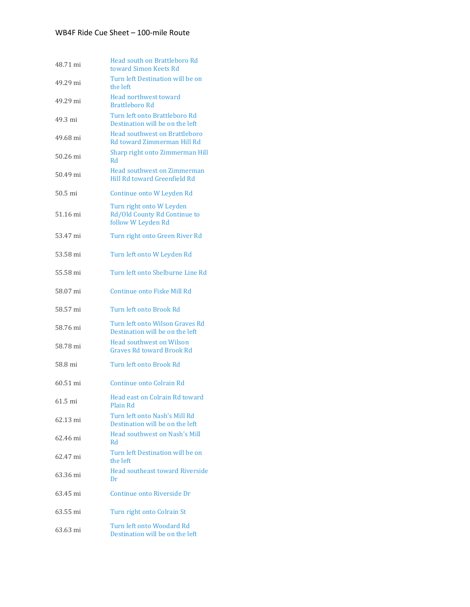| 48.71 mi | Head south on Brattleboro Rd<br>toward Simon Keets Rd                          |
|----------|--------------------------------------------------------------------------------|
| 49.29 mi | Turn left Destination will be on<br>the left                                   |
| 49.29 mi | Head northwest toward<br>Brattleboro Rd                                        |
| 49.3 mi  | Turn left onto Brattleboro Rd<br>Destination will be on the left               |
| 49.68 mi | <b>Head southwest on Brattleboro</b><br>Rd toward Zimmerman Hill Rd            |
| 50.26 mi | Sharp right onto Zimmerman Hill<br>R <sub>d</sub>                              |
| 50.49 mi | <b>Head southwest on Zimmerman</b><br>Hill Rd toward Greenfield Rd             |
| 50.5 mi  | Continue onto W Leyden Rd                                                      |
| 51.16 mi | Turn right onto W Leyden<br>Rd/Old County Rd Continue to<br>follow W Leyden Rd |
| 53.47 mi | Turn right onto Green River Rd                                                 |
| 53.58 mi | Turn left onto W Leyden Rd                                                     |
| 55.58 mi | Turn left onto Shelburne Line Rd                                               |
| 58.07 mi | Continue onto Fiske Mill Rd                                                    |
| 58.57 mi | Turn left onto Brook Rd                                                        |
| 58.76 mi | Turn left onto Wilson Graves Rd<br>Destination will be on the left             |
| 58.78 mi | <b>Head southwest on Wilson</b><br><b>Graves Rd toward Brook Rd</b>            |
| 58.8 mi  | Turn left onto Brook Rd                                                        |
| 60.51 mi | Continue onto Colrain Rd                                                       |
| 61.5 mi  | Head east on Colrain Rd toward<br>Plain Rd                                     |
| 62.13 mi | Turn left onto Nash's Mill Rd<br>Destination will be on the left               |
| 62.46 mi | <b>Head southwest on Nash's Mill</b><br>Rd                                     |
| 62.47 mi | Turn left Destination will be on<br>the left                                   |
| 63.36 mi | <b>Head southeast toward Riverside</b><br>Dr                                   |
| 63.45 mi | Continue onto Riverside Dr                                                     |
| 63.55 mi | Turn right onto Colrain St                                                     |
| 63.63 mi | Turn left onto Woodard Rd<br>Destination will be on the left                   |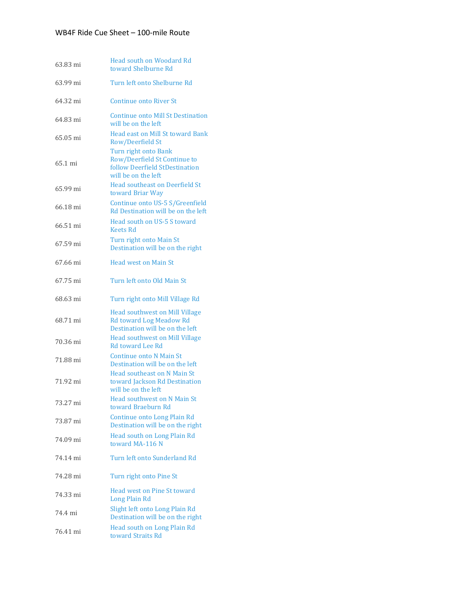| 63.83 mi | <b>Head south on Woodard Rd</b><br>toward Shelburne Rd                                                        |
|----------|---------------------------------------------------------------------------------------------------------------|
| 63.99 mi | Turn left onto Shelburne Rd                                                                                   |
| 64.32 mi | <b>Continue onto River St</b>                                                                                 |
| 64.83 mi | <b>Continue onto Mill St Destination</b><br>will be on the left                                               |
| 65.05 mi | <b>Head east on Mill St toward Bank</b><br>Row/Deerfield St                                                   |
| 65.1 mi  | Turn right onto Bank<br>Row/Deerfield St Continue to<br>follow Deerfield StDestination<br>will be on the left |
| 65.99 mi | <b>Head southeast on Deerfield St</b><br>toward Briar Way                                                     |
| 66.18 mi | Continue onto US-5 S/Greenfield<br>Rd Destination will be on the left                                         |
| 66.51 mi | Head south on US-5 S toward<br>Keets Rd                                                                       |
| 67.59 mi | Turn right onto Main St<br>Destination will be on the right                                                   |
| 67.66 mi | <b>Head west on Main St</b>                                                                                   |
| 67.75 mi | Turn left onto Old Main St                                                                                    |
| 68.63 mi | Turn right onto Mill Village Rd                                                                               |
| 68.71 mi | <b>Head southwest on Mill Village</b><br>Rd toward Log Meadow Rd<br>Destination will be on the left           |
| 70.36 mi | <b>Head southwest on Mill Village</b><br>Rd toward Lee Rd                                                     |
| 71.88 mi | Continue onto N Main St<br>Destination will be on the left                                                    |
| 71.92 mi | Head southeast on N Main St.<br>toward Jackson Rd Destination<br>will be on the left                          |
| 73.27 mi | Head southwest on N Main St<br>toward Braeburn Rd                                                             |
| 73.87 mi | Continue onto Long Plain Rd<br>Destination will be on the right                                               |
| 74.09 mi | Head south on Long Plain Rd<br>toward MA-116 N                                                                |
| 74.14 mi | Turn left onto Sunderland Rd                                                                                  |
| 74.28 mi | Turn right onto Pine St                                                                                       |
| 74.33 mi | <b>Head west on Pine St toward</b><br>Long Plain Rd                                                           |
| 74.4 mi  | Slight left onto Long Plain Rd<br>Destination will be on the right                                            |
| 76.41 mi | Head south on Long Plain Rd<br>toward Straits Rd                                                              |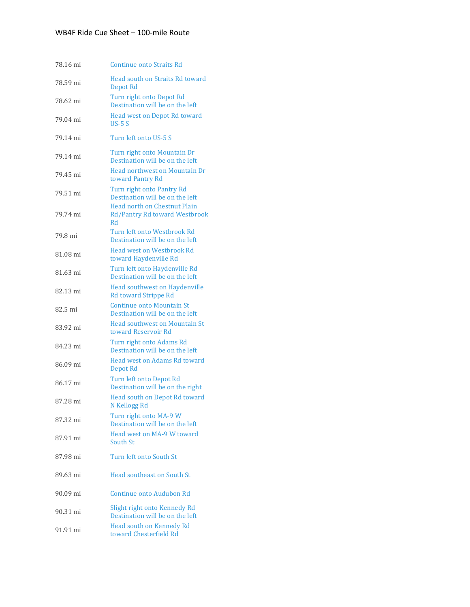| 78.16 mi | <b>Continue onto Straits Rd</b>                                            |
|----------|----------------------------------------------------------------------------|
| 78.59 mi | Head south on Straits Rd toward<br>Depot Rd                                |
| 78.62 mi | Turn right onto Depot Rd<br>Destination will be on the left                |
| 79.04 mi | Head west on Depot Rd toward<br>$US-5S$                                    |
| 79.14 mi | Turn left onto US-5 S                                                      |
| 79.14 mi | Turn right onto Mountain Dr<br>Destination will be on the left             |
| 79.45 mi | Head northwest on Mountain Dr<br>toward Pantry Rd                          |
| 79.51 mi | Turn right onto Pantry Rd<br>Destination will be on the left               |
| 79.74 mi | <b>Head north on Chestnut Plain</b><br>Rd/Pantry Rd toward Westbrook<br>Rd |
| 79.8 mi  | Turn left onto Westbrook Rd<br>Destination will be on the left             |
| 81.08 mi | <b>Head west on Westbrook Rd</b><br>toward Haydenville Rd                  |
| 81.63 mi | Turn left onto Haydenville Rd<br>Destination will be on the left           |
| 82.13 mi | <b>Head southwest on Haydenville</b><br><b>Rd toward Strippe Rd</b>        |
| 82.5 mi  | <b>Continue onto Mountain St</b><br>Destination will be on the left        |
| 83.92 mi | <b>Head southwest on Mountain St</b><br>toward Reservoir Rd                |
| 84.23 mi | Turn right onto Adams Rd<br>Destination will be on the left                |
| 86.09 mi | Head west on Adams Rd toward<br>Depot Rd                                   |
| 86.17 mi | Turn left onto Depot Rd<br>Destination will be on the right                |
| 87.28 mi | Head south on Depot Rd toward<br>N Kellogg Rd                              |
| 87.32 mi | Turn right onto MA-9 W<br>Destination will be on the left                  |
| 87.91 mi | Head west on MA-9 W toward<br>South St                                     |
| 87.98 mi | Turn left onto South St                                                    |
| 89.63 mi | <b>Head southeast on South St.</b>                                         |
| 90.09 mi | Continue onto Audubon Rd                                                   |
| 90.31 mi | Slight right onto Kennedy Rd<br>Destination will be on the left            |
| 91.91 mi | Head south on Kennedy Rd<br>toward Chesterfield Rd                         |
|          |                                                                            |